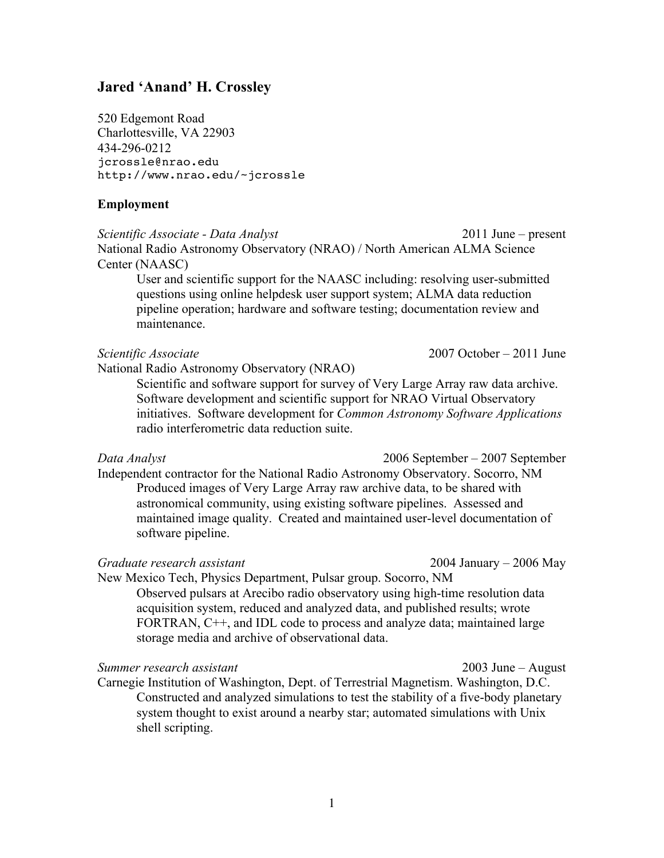# **Jared 'Anand' H. Crossley**

520 Edgemont Road Charlottesville, VA 22903 434-296-0212 jcrossle@nrao.edu http://www.nrao.edu/~jcrossle

### **Employment**

*Scientific Associate - Data Analyst* 2011 June – present National Radio Astronomy Observatory (NRAO) / North American ALMA Science Center (NAASC)

User and scientific support for the NAASC including: resolving user-submitted questions using online helpdesk user support system; ALMA data reduction pipeline operation; hardware and software testing; documentation review and maintenance.

National Radio Astronomy Observatory (NRAO)

Scientific and software support for survey of Very Large Array raw data archive. Software development and scientific support for NRAO Virtual Observatory initiatives. Software development for *Common Astronomy Software Applications* radio interferometric data reduction suite.

Independent contractor for the National Radio Astronomy Observatory. Socorro, NM Produced images of Very Large Array raw archive data, to be shared with astronomical community, using existing software pipelines. Assessed and maintained image quality. Created and maintained user-level documentation of software pipeline.

#### *Graduate research assistant* 2004 January – 2006 May

New Mexico Tech, Physics Department, Pulsar group. Socorro, NM Observed pulsars at Arecibo radio observatory using high-time resolution data acquisition system, reduced and analyzed data, and published results; wrote FORTRAN, C<sup>++</sup>, and IDL code to process and analyze data; maintained large storage media and archive of observational data.

*Summer research assistant* 2003 June – August

Carnegie Institution of Washington, Dept. of Terrestrial Magnetism. Washington, D.C. Constructed and analyzed simulations to test the stability of a five-body planetary system thought to exist around a nearby star; automated simulations with Unix shell scripting.

*Data Analyst* 2006 September – 2007 September

*Scientific Associate* 2007 October – 2011 June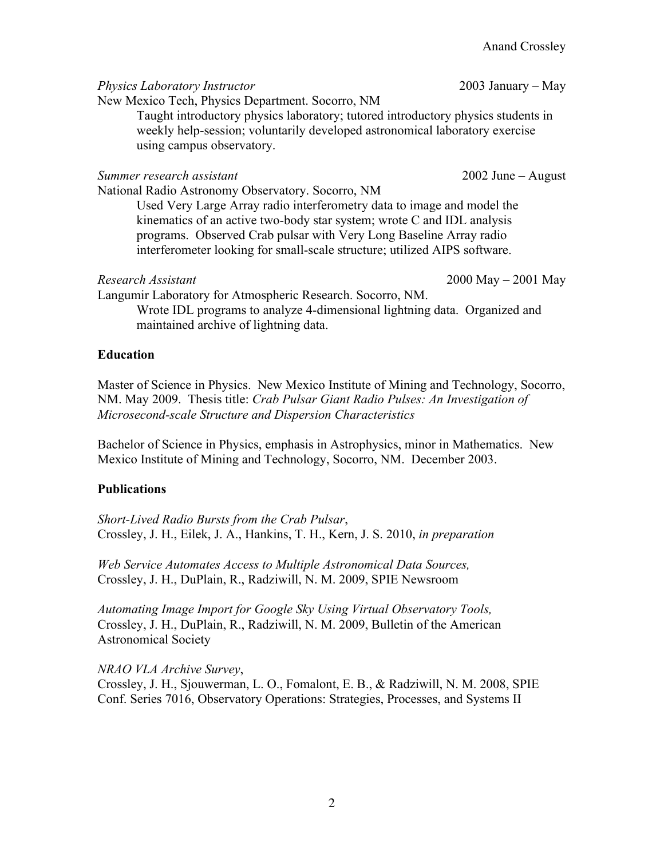*Physics Laboratory Instructor* 2003 January – May

New Mexico Tech, Physics Department. Socorro, NM Taught introductory physics laboratory; tutored introductory physics students in

weekly help-session; voluntarily developed astronomical laboratory exercise using campus observatory.

*Summer research assistant* 2002 June – August

National Radio Astronomy Observatory. Socorro, NM

Used Very Large Array radio interferometry data to image and model the kinematics of an active two-body star system; wrote C and IDL analysis programs. Observed Crab pulsar with Very Long Baseline Array radio interferometer looking for small-scale structure; utilized AIPS software.

*Research Assistant* 2000 May – 2001 May

Langumir Laboratory for Atmospheric Research. Socorro, NM.

Wrote IDL programs to analyze 4-dimensional lightning data. Organized and maintained archive of lightning data.

# **Education**

Master of Science in Physics. New Mexico Institute of Mining and Technology, Socorro, NM. May 2009. Thesis title: *Crab Pulsar Giant Radio Pulses: An Investigation of Microsecond-scale Structure and Dispersion Characteristics*

Bachelor of Science in Physics, emphasis in Astrophysics, minor in Mathematics. New Mexico Institute of Mining and Technology, Socorro, NM. December 2003.

# **Publications**

*Short-Lived Radio Bursts from the Crab Pulsar*, Crossley, J. H., Eilek, J. A., Hankins, T. H., Kern, J. S. 2010, *in preparation*

*Web Service Automates Access to Multiple Astronomical Data Sources,* Crossley, J. H., DuPlain, R., Radziwill, N. M. 2009, SPIE Newsroom

*Automating Image Import for Google Sky Using Virtual Observatory Tools,* Crossley, J. H., DuPlain, R., Radziwill, N. M. 2009, Bulletin of the American Astronomical Society

*NRAO VLA Archive Survey*, Crossley, J. H., Sjouwerman, L. O., Fomalont, E. B., & Radziwill, N. M. 2008, SPIE Conf. Series 7016, Observatory Operations: Strategies, Processes, and Systems II